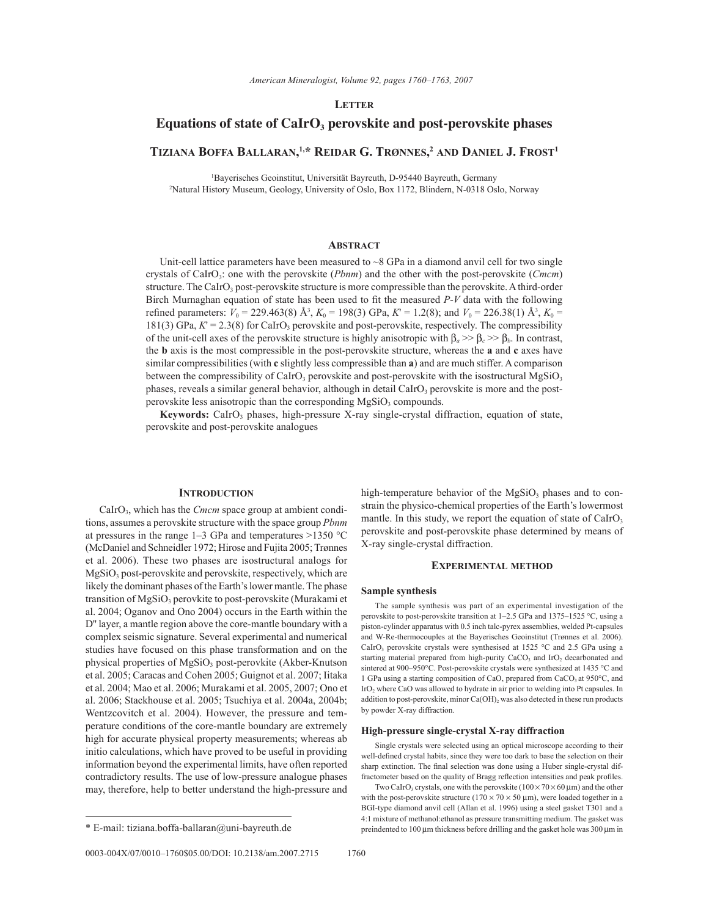*American Mineralogist, Volume 92, pages 1760-1763, 2007* 

## **LETTER**

# Equations of state of CaIrO<sub>3</sub> perovskite and post-perovskite phases

## **TIZIANA BOFFA BALLARAN, 1,\* REIDAR G. TRÿNNES, <sup>2</sup> AND DANIEL J. FROST1**

<sup>1</sup>Bayerisches Geoinstitut, Universität Bayreuth, D-95440 Bayreuth, Germany<br><sup>2</sup>Natural History Museum, Geology, University of Oslo, Box 1172, Blindern, N.0318 Osl <sup>2</sup>Natural History Museum, Geology, University of Oslo, Box 1172, Blindern, N-0318 Oslo, Norway

## **ABSTRACT**

Unit-cell lattice parameters have been measured to  $\sim$ 8 GPa in a diamond anvil cell for two single crystals of CaIrO3: one with the perovskite (*Pbnm*) and the other with the post-perovskite (*Cmcm*) structure. The CaIrO<sub>3</sub> post-perovskite structure is more compressible than the perovskite. A third-order Birch Murnaghan equation of state has been used to fit the measured *P-V* data with the following refined parameters:  $V_0 = 229.463(8)$  Å<sup>3</sup>,  $K_0 = 198(3)$  GPa,  $K' = 1.2(8)$ ; and  $V_0 = 226.38(1)$  Å<sup>3</sup>,  $K_0 =$ 181(3) GPa,  $K = 2.3(8)$  for CaIrO<sub>3</sub> perovskite and post-perovskite, respectively. The compressibility of the unit-cell axes of the perovskite structure is highly anisotropic with β*a* >> β*c* >> β*b*. In contrast, the **b** axis is the most compressible in the post-perovskite structure, whereas the **a** and **c** axes have similar compressibilities (with **c** slightly less compressible than **a**) and are much stiffer. A comparison between the compressibility of CaIrO<sub>3</sub> perovskite and post-perovskite with the isostructural MgSiO<sub>3</sub> phases, reveals a similar general behavior, although in detail CaIrO<sub>3</sub> perovskite is more and the postperovskite less anisotropic than the corresponding MgSiO<sub>3</sub> compounds.

Keywords: CaIrO<sub>3</sub> phases, high-pressure X-ray single-crystal diffraction, equation of state, perovskite and post-perovskite analogues

#### **INTRODUCTION**

CaIrO<sub>3</sub>, which has the *Cmcm* space group at ambient conditions, assumes a perovskite structure with the space group *Pbnm* at pressures in the range  $1-3$  GPa and temperatures >1350 °C (McDaniel and Schneidler 1972; Hirose and Fujita 2005; Trønnes et al. 2006). These two phases are isostructural analogs for MgSiO3 post-perovskite and perovskite, respectively, which are likely the dominant phases of the Earth's lower mantle. The phase transition of MgSiO<sub>3</sub> perovkite to post-perovskite (Murakami et al. 2004; Oganov and Ono 2004) occurs in the Earth within the D'' layer, a mantle region above the core-mantle boundary with a complex seismic signature. Several experimental and numerical studies have focused on this phase transformation and on the physical properties of MgSiO<sub>3</sub> post-perovkite (Akber-Knutson et al. 2005; Caracas and Cohen 2005; Guignot et al. 2007; Iitaka et al. 2004; Mao et al. 2006; Murakami et al. 2005, 2007; Ono et al. 2006; Stackhouse et al. 2005; Tsuchiya et al. 2004a, 2004b; Wentzcovitch et al. 2004). However, the pressure and temperature conditions of the core-mantle boundary are extremely high for accurate physical property measurements; whereas ab initio calculations, which have proved to be useful in providing information beyond the experimental limits, have often reported contradictory results. The use of low-pressure analogue phases may, therefore, help to better understand the high-pressure and

high-temperature behavior of the  $MgSiO<sub>3</sub>$  phases and to constrain the physico-chemical properties of the Earth's lowermost mantle. In this study, we report the equation of state of  $CaIrO<sub>3</sub>$ perovskite and post-perovskite phase determined by means of X-ray single-crystal diffraction.

### **EXPERIMENTAL METHOD**

### **Sample synthesis**

The sample synthesis was part of an experimental investigation of the perovskite to post-perovskite transition at  $1-2.5$  GPa and  $1375-1525$  °C, using a piston-cylinder apparatus with 0.5 inch talc-pyrex assemblies, welded Pt-capsules and W-Re-thermocouples at the Bayerisches Geoinstitut (Trønnes et al. 2006). CaIrO<sub>3</sub> perovskite crystals were synthesised at 1525  $^{\circ}$ C and 2.5 GPa using a starting material prepared from high-purity  $CaCO<sub>3</sub>$  and IrO<sub>2</sub> decarbonated and sintered at 900-950°C. Post-perovskite crystals were synthesized at 1435 °C and 1 GPa using a starting composition of CaO, prepared from CaCO<sub>3</sub> at 950°C, and IrO<sub>2</sub> where CaO was allowed to hydrate in air prior to welding into Pt capsules. In addition to post-perovskite, minor Ca(OH)<sub>2</sub> was also detected in these run products by powder X-ray diffraction.

### **High-pressure single-crystal X-ray diffraction**

Single crystals were selected using an optical microscope according to their well-defined crystal habits, since they were too dark to base the selection on their sharp extinction. The final selection was done using a Huber single-crystal diffractometer based on the quality of Bragg reflection intensities and peak profiles.

Two CaIrO<sub>3</sub> crystals, one with the perovskite  $(100 \times 70 \times 60 \,\mu\text{m})$  and the other with the post-perovskite structure  $(170 \times 70 \times 50 \text{ µm})$ , were loaded together in a BGI-type diamond anvil cell (Allan et al. 1996) using a steel gasket T301 and a 4:1 mixture of methanol:ethanol as pressure transmitting medium. The gasket was \* E-mail: tiziana.boffa-ballaran@uni-bayreuth.de preindented to 100 μm thickness before drilling and the gasket hole was 300 μm in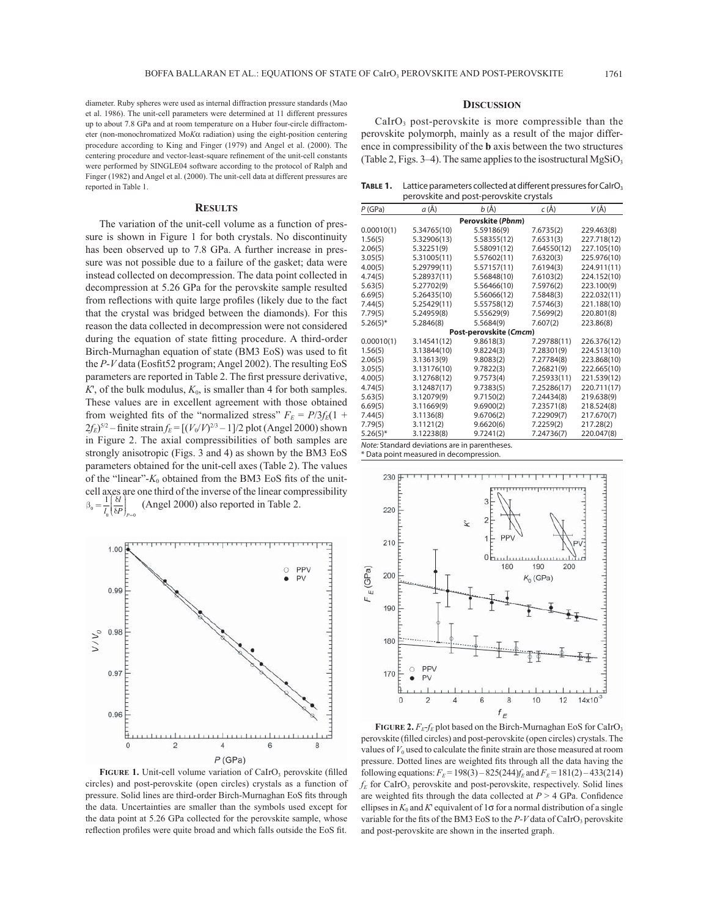diameter. Ruby spheres were used as internal diffraction pressure standards (Mao et al. 1986). The unit-cell parameters were determined at 11 different pressures up to about 7.8 GPa and at room temperature on a Huber four-circle diffractometer (non-monochromatized Mo*K*α radiation) using the eight-position centering procedure according to King and Finger (1979) and Angel et al. (2000). The centering procedure and vector-least-square refinement of the unit-cell constants were performed by SINGLE04 software according to the protocol of Ralph and Finger (1982) and Angel et al. (2000). The unit-cell data at different pressures are reported in Table 1.

#### **RESULTS**

The variation of the unit-cell volume as a function of pressure is shown in Figure 1 for both crystals. No discontinuity has been observed up to 7.8 GPa. A further increase in pressure was not possible due to a failure of the gasket; data were instead collected on decompression. The data point collected in decompression at 5.26 GPa for the perovskite sample resulted from reflections with quite large profiles (likely due to the fact that the crystal was bridged between the diamonds). For this reason the data collected in decompression were not considered during the equation of state fitting procedure. A third-order Birch-Murnaghan equation of state (BM3 EoS) was used to fit the  $P$ - $V$  data (Eosfit<sup>52</sup> program; Angel 2002). The resulting EoS parameters are reported in Table 2. The first pressure derivative,  $K'$ , of the bulk modulus,  $K_0$ , is smaller than 4 for both samples. These values are in excellent agreement with those obtained from weighted fits of the "normalized stress"  $F_E = P/3f_E(1 +$  $2f_E$ <sup>5/2</sup> – finite strain  $f_E = [(V_0/V)^{2/3} - 1]/2$  plot (Angel 2000) shown in Figure 2. The axial compressibilities of both samples are strongly anisotropic (Figs. 3 and 4) as shown by the BM3 EoS parameters obtained for the unit-cell axes (Table 2). The values of the "linear"- $K_0$  obtained from the BM3 EoS fits of the unitcell axes are one third of the inverse of the linear compressibility  $\beta_0 = \frac{1}{l_0} \left( \frac{\delta l}{\delta P} \right)_{P=0}$  $\overline{\phantom{a}}$ ⎞ ⎠  $\frac{1}{l_0} \left( \frac{\delta l}{\delta P} \right)_{P=1}$ *l P <sup>P</sup>* (Angel 2000) also reported in Table 2.



FIGURE 1. Unit-cell volume variation of CaIrO<sub>3</sub> perovskite (filled circles) and post-perovskite (open circles) crystals as a function of pressure. Solid lines are third-order Birch-Murnaghan EoS fits through the data. Uncertainties are smaller than the symbols used except for the data point at 5.26 GPa collected for the perovskite sample, whose reflection profiles were quite broad and which falls outside the EoS fit.

### **DISCUSSION**

 $Calro<sub>3</sub>$  post-perovskite is more compressible than the perovskite polymorph, mainly as a result of the major difference in compressibility of the **b** axis between the two structures (Table 2, Figs. 3-4). The same applies to the isostructural  $MgSiO<sub>3</sub>$ 

TABLE 1. Lattice parameters collected at different pressures for CalrO<sub>3</sub> perovskite and post-perovskite crystals

| P(GPa)      | a (Å)                                         | b (Å)                  | $c(\AA)$    | $V(\AA)$    |
|-------------|-----------------------------------------------|------------------------|-------------|-------------|
|             |                                               | Perovskite (Pbnm)      |             |             |
| 0.00010(1)  | 5.34765(10)                                   | 5.59186(9)             | 7.6735(2)   | 229.463(8)  |
| 1.56(5)     | 5.32906(13)                                   | 5.58355(12)            | 7.6531(3)   | 227.718(12) |
| 2.06(5)     | 5.32251(9)                                    | 5.58091(12)            | 7.64550(12) | 227.105(10) |
| 3.05(5)     | 5.31005(11)                                   | 5.57602(11)            | 7.6320(3)   | 225.976(10) |
| 4.00(5)     | 5.29799(11)                                   | 5.57157(11)            | 7.6194(3)   | 224.911(11) |
| 4.74(5)     | 5.28937(11)                                   | 5.56848(10)            | 7.6103(2)   | 224.152(10) |
| 5.63(5)     | 5.27702(9)                                    | 5.56466(10)            | 7.5976(2)   | 223.100(9)  |
| 6.69(5)     | 5.26435(10)                                   | 5.56066(12)            | 7.5848(3)   | 222.032(11) |
| 7.44(5)     | 5.25429(11)                                   | 5.55758(12)            | 7.5746(3)   | 221.188(10) |
| 7.79(5)     | 5.24959(8)                                    | 5.55629(9)             | 7.5699(2)   | 220.801(8)  |
| $5.26(5)$ * | 5.2846(8)                                     | 5.5684(9)              | 7.607(2)    | 223.86(8)   |
|             |                                               | Post-perovskite (Cmcm) |             |             |
| 0.00010(1)  | 3.14541(12)                                   | 9.8618(3)              | 7.29788(11) | 226.376(12) |
| 1.56(5)     | 3.13844(10)                                   | 9.8224(3)              | 7.28301(9)  | 224.513(10) |
| 2.06(5)     | 3.13613(9)                                    | 9.8083(2)              | 7.27784(8)  | 223.868(10) |
| 3.05(5)     | 3.13176(10)                                   | 9.7822(3)              | 7.26821(9)  | 222.665(10) |
| 4.00(5)     | 3.12768(12)                                   | 9.7573(4)              | 7.25933(11) | 221.539(12) |
| 4.74(5)     | 3.12487(17)                                   | 9.7383(5)              | 7.25286(17) | 220.711(17) |
| 5.63(5)     | 3.12079(9)                                    | 9.7150(2)              | 7.24434(8)  | 219.638(9)  |
| 6.69(5)     | 3.11669(9)                                    | 9.6900(2)              | 7.23571(8)  | 218.524(8)  |
| 7.44(5)     | 3.1136(8)                                     | 9.6706(2)              | 7.22909(7)  | 217.670(7)  |
| 7.79(5)     | 3.1121(2)                                     | 9.6620(6)              | 7.2259(2)   | 217.28(2)   |
| $5.26(5)$ * | 3.12238(8)                                    | 9.7241(2)              | 7.24736(7)  | 220.047(8)  |
|             | Note: Standard deviations are in parentheses. |                        |             |             |

\* Data point measured in decompression.



**FIGURE 2.**  $F_E$ - $f_E$  plot based on the Birch-Murnaghan EoS for CaIrO<sub>3</sub> perovskite (filled circles) and post-perovskite (open circles) crystals. The values of  $V_0$  used to calculate the finite strain are those measured at room pressure. Dotted lines are weighted fits through all the data having the following equations:  $F_E = 198(3) - 825(244) f_E$  and  $F_E = 181(2) - 433(214)$  $f_E$  for CaIrO<sub>3</sub> perovskite and post-perovskite, respectively. Solid lines are weighted fits through the data collected at  $P > 4$  GPa. Confidence ellipses in  $K_0$  and  $K'$  equivalent of  $1\sigma$  for a normal distribution of a single variable for the fits of the BM3 EoS to the  $P-V$  data of CaIrO<sub>3</sub> perovskite and post-perovskite are shown in the inserted graph.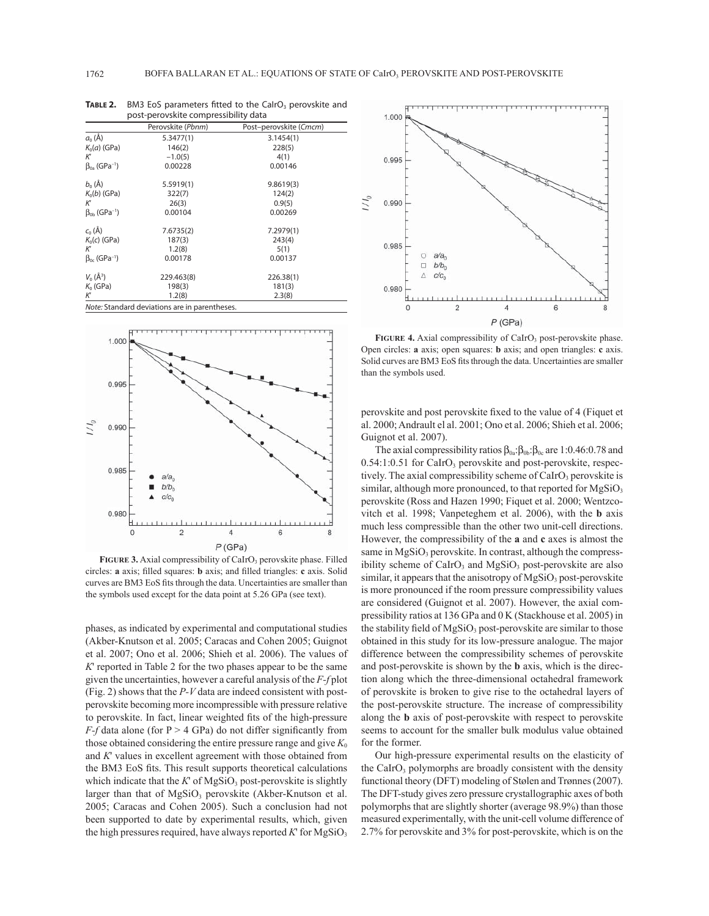|                                       | Perovskite (Pbnm) | Post-perovskite (Cmcm) |
|---------------------------------------|-------------------|------------------------|
| $a_0(\AA)$                            | 5.3477(1)         | 3.1454(1)              |
| $K_0(a)$ (GPa)                        | 146(2)            | 228(5)                 |
| К                                     | $-1.0(5)$         | 4(1)                   |
| $\beta_{0a}$ (GPa <sup>-1</sup> )     | 0.00228           | 0.00146                |
| $b_0(\AA)$                            | 5.5919(1)         | 9.8619(3)              |
| $K_0(b)$ (GPa)                        | 322(7)            | 124(2)                 |
| К                                     | 26(3)             | 0.9(5)                 |
| $\beta_{\rm ob}$ (GPa <sup>-1</sup> ) | 0.00104           | 0.00269                |
| $c_0(\AA)$                            | 7.6735(2)         | 7.2979(1)              |
| $K_0(c)$ (GPa)                        | 187(3)            | 243(4)                 |
| К                                     | 1.2(8)            | 5(1)                   |
| $\beta_{0c}$ (GPa <sup>-1</sup> )     | 0.00178           | 0.00137                |
| $V_0(\AA^3)$                          | 229.463(8)        | 226.38(1)              |
| $K_0$ (GPa)                           | 198(3)            | 181(3)                 |
| К                                     | 1.2(8)            | 2.3(8)                 |

**TABLE 2.** BM3 EoS parameters fitted to the CalrO<sub>3</sub> perovskite and post-perovskite compressibility data



FIGURE 3. Axial compressibility of CaIrO<sub>3</sub> perovskite phase. Filled circles: **a** axis; filled squares: **b** axis; and filled triangles: **c** axis. Solid curves are BM3 EoS fits through the data. Uncertainties are smaller than the symbols used except for the data point at 5.26 GPa (see text).

phases, as indicated by experimental and computational studies (Akber-Knutson et al. 2005; Caracas and Cohen 2005; Guignot et al. 2007; Ono et al. 2006; Shieh et al. 2006). The values of *K*' reported in Table 2 for the two phases appear to be the same given the uncertainties, however a careful analysis of the *F-f* plot (Fig. 2) shows that the *P-V* data are indeed consistent with postperovskite becoming more incompressible with pressure relative to perovskite. In fact, linear weighted fits of the high-pressure *F-f* data alone (for  $P > 4$  GPa) do not differ significantly from those obtained considering the entire pressure range and give  $K_0$ and *K*' values in excellent agreement with those obtained from the BM3 EoS fits. This result supports theoretical calculations which indicate that the  $K'$  of MgSiO<sub>3</sub> post-perovskite is slightly larger than that of  $MgSiO<sub>3</sub>$  perovskite (Akber-Knutson et al. 2005; Caracas and Cohen 2005). Such a conclusion had not been supported to date by experimental results, which, given the high pressures required, have always reported  $K'$  for  $MgSiO<sub>3</sub>$ 



FIGURE 4. Axial compressibility of CaIrO<sub>3</sub> post-perovskite phase. Open circles: **a** axis; open squares: **b** axis; and open triangles: **c** axis. Solid curves are BM3 EoS fits through the data. Uncertainties are smaller than the symbols used.

perovskite and post perovskite fixed to the value of 4 (Fiquet et al. 2000; Andrault el al. 2001; Ono et al. 2006; Shieh et al. 2006; Guignot et al. 2007).

The axial compressibility ratios  $\beta_{0a}:\beta_{0b}:\beta_{0c}$  are 1:0.46:0.78 and 0.54:1:0.51 for CaIrO<sub>3</sub> perovskite and post-perovskite, respectively. The axial compressibility scheme of  $Calro<sub>3</sub>$  perovskite is similar, although more pronounced, to that reported for  $MgSiO<sub>3</sub>$ perovskite (Ross and Hazen 1990; Fiquet et al. 2000; Wentzcovitch et al. 1998; Vanpeteghem et al. 2006), with the **b** axis much less compressible than the other two unit-cell directions. However, the compressibility of the **a** and **c** axes is almost the same in  $MgSiO<sub>3</sub>$  perovskite. In contrast, although the compressibility scheme of CaIrO<sub>3</sub> and MgSiO<sub>3</sub> post-perovskite are also similar, it appears that the anisotropy of  $MgSiO<sub>3</sub>$  post-perovskite is more pronounced if the room pressure compressibility values are considered (Guignot et al. 2007). However, the axial compressibility ratios at 136 GPa and 0 K (Stackhouse et al. 2005) in the stability field of  $MgSiO<sub>3</sub>$  post-perovskite are similar to those obtained in this study for its low-pressure analogue. The major difference between the compressibility schemes of perovskite and post-perovskite is shown by the **b** axis, which is the direction along which the three-dimensional octahedral framework of perovskite is broken to give rise to the octahedral layers of the post-perovskite structure. The increase of compressibility along the **b** axis of post-perovskite with respect to perovskite seems to account for the smaller bulk modulus value obtained for the former.

Our high-pressure experimental results on the elasticity of the CaIrO<sub>3</sub> polymorphs are broadly consistent with the density functional theory (DFT) modeling of Stølen and Trønnes (2007). The DFT-study gives zero pressure crystallographic axes of both polymorphs that are slightly shorter (average 98.9%) than those measured experimentally, with the unit-cell volume difference of 2.7% for perovskite and 3% for post-perovskite, which is on the